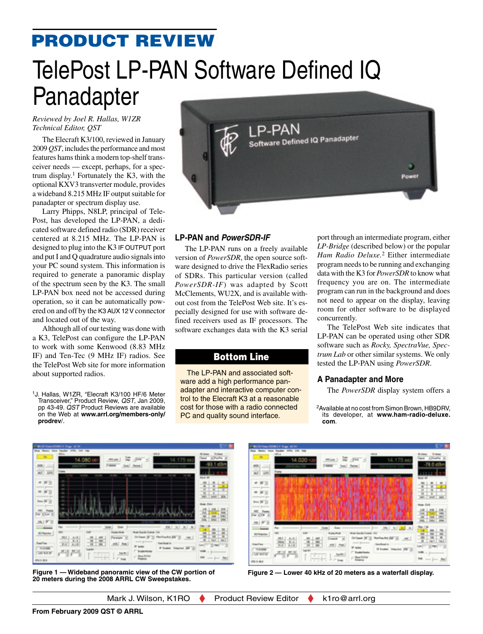## product review

# TelePost LP-PAN Software Defined IQ Panadapter

#### *Reviewed by Joel R. Hallas, W1ZR Technical Editor, QST*

The Elecraft K3/100, reviewed in January 2009 *QST*, includes the performance and most features hams think a modern top-shelf transceiver needs — except, perhaps, for a spectrum display.<sup>1</sup> Fortunately the K3, with the optional KXV3 transverter module, provides a wideband 8.215 MHz IF output suitable for panadapter or spectrum display use.

Larry Phipps, N8LP, principal of Tele-Post, has developed the LP-PAN, a dedicated software defined radio (SDR) receiver centered at 8.215 MHz. The LP-PAN is designed to plug into the K3 IF OUTPUT port and put I and Q quadrature audio signals into your PC sound system. This information is required to generate a panoramic display of the spectrum seen by the K3. The small LP-PAN box need not be accessed during operation, so it can be automatically powered on and off by the K3 AUX 12 V connector and located out of the way.

Although all of our testing was done with a K3, TelePost can configure the LP-PAN to work with some Kenwood (8.83 MHz IF) and Ten-Tec (9 MHz IF) radios. See the TelePost Web site for more information about supported radios.

1J. Hallas, W1ZR, "Elecraft K3/100 HF/6 Meter Transceiver," Product Review, *QST*, Jan 2009, pp 43-49. *QST* Product Reviews are available on the Web at **www.arrl.org/members-only/ prodrev**/.



#### **LP-PAN and** *PowerSDR-IF*

The LP-PAN runs on a freely available version of *PowerSDR*, the open source software designed to drive the FlexRadio series of SDRs. This particular version (called *PowerSDR-IF*) was adapted by Scott McClements, WU2X, and is available without cost from the TelePost Web site. It's especially designed for use with software defined receivers used as IF processors. The software exchanges data with the K3 serial

### Bottom Line

The LP-PAN and associated software add a high performance panadapter and interactive computer control to the Elecraft K3 at a reasonable cost for those with a radio connected PC and quality sound interface.

port through an intermediate program, either *LP-Bridge* (described below) or the popular *Ham Radio Deluxe.*2 Either intermediate program needs to be running and exchanging data with the K3 for *PowerSDR* to know what frequency you are on. The intermediate program can run in the background and does not need to appear on the display, leaving room for other software to be displayed concurrently.

The TelePost Web site indicates that LP-PAN can be operated using other SDR software such as *Rocky, SpectraVue, Spectrum Lab* or other similar systems. We only tested the LP-PAN using *PowerSDR*.

#### **A Panadapter and More**

The *PowerSDR* display system offers a

2Available at no cost from Simon Brown, HB9DRV, its developer, at **www.ham-radio-deluxe. com**.







**Figure 2 — Lower 40 kHz of 20 meters as a waterfall display.**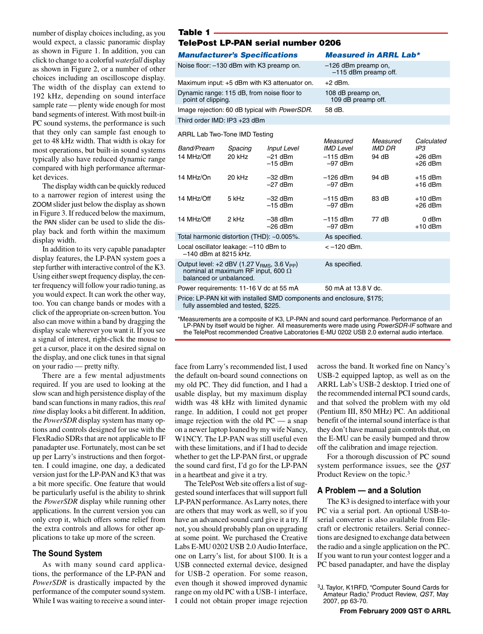number of display choices including, as you would expect, a classic panoramic display as shown in Figure 1. In addition, you can click to change to a colorful *waterfall* display as shown in Figure 2, or a number of other choices including an oscilloscope display. The width of the display can extend to 192 kHz, depending on sound interface sample rate — plenty wide enough for most band segments of interest. With most built-in PC sound systems, the performance is such that they only can sample fast enough to get to 48 kHz width. That width is okay for most operations, but built-in sound systems typically also have reduced dynamic range compared with high performance aftermarket devices.

The display width can be quickly reduced to a narrower region of interest using the ZOOM slider just below the display as shown in Figure 3. If reduced below the maximum, the PAN slider can be used to slide the display back and forth within the maximum display width.

In addition to its very capable panadapter display features, the LP-PAN system goes a step further with interactive control of the K3. Using either swept frequency display, the center frequency will follow your radio tuning, as you would expect. It can work the other way, too. You can change bands or modes with a click of the appropriate on-screen button. You also can move within a band by dragging the display scale wherever you want it. If you see a signal of interest, right-click the mouse to get a cursor, place it on the desired signal on the display, and one click tunes in that signal on your radio — pretty nifty.

There are a few mental adjustments required. If you are used to looking at the slow scan and high persistence display of the band scan functions in many radios, this *real time* display looks a bit different. In addition, the *PowerSDR* display system has many options and controls designed for use with the FlexRadio SDRs that are not applicable to IF panadapter use. Fortunately, most can be set up per Larry's instructions and then forgotten. I could imagine, one day, a dedicated version just for the LP-PAN and K3 that was a bit more specific. One feature that would be particularly useful is the ability to shrink the *PowerSDR* display while running other applications. In the current version you can only crop it, which offers some relief from the extra controls and allows for other applications to take up more of the screen.

#### **The Sound System**

As with many sound card applications, the performance of the LP-PAN and *PowerSDR* is drastically impacted by the performance of the computer sound system. While I was waiting to receive a sound inter-

#### Table 1

#### TelePost LP-PAN serial number 0206

| <b>Manufacturer's Specifications</b>                             | <b>Measured in ARRL Lab*</b>                    |
|------------------------------------------------------------------|-------------------------------------------------|
| Noise floor: -130 dBm with K3 preamp on.                         | $-126$ dBm preamp on,<br>$-115$ dBm preamp off. |
| Maximum input: +5 dBm with K3 attenuator on.                     | $+2$ dBm.                                       |
| Dynamic range: 115 dB, from noise floor to<br>point of clipping. | 108 dB preamp on,<br>109 dB preamp off.         |

Image rejection: 60 dB typical with *PowerSDR*. 58 dB.

Third order IMD: IP3 +23 dBm

ARRL Lab Two-Tone IMD Testing

| Band/Pream                                                                                                                    | Spacing | <b>Input Level</b>     | Measured<br><b>IMD Level</b> | Measured<br>IMD DR | Calculated<br>IP3      |  |
|-------------------------------------------------------------------------------------------------------------------------------|---------|------------------------|------------------------------|--------------------|------------------------|--|
| 14 MHz/Off                                                                                                                    | 20 kHz  | $-21$ dBm<br>$-15$ dBm | $-115$ dBm<br>$-97$ dBm      | 94 dB              | $+26$ dBm<br>$+26$ dBm |  |
| 14 MHz/On                                                                                                                     | 20 kHz  | $-32$ dBm<br>$-27$ dBm | $-126$ dBm<br>$-97$ dBm      | 94 dB              | $+15$ dBm<br>$+16$ dBm |  |
| 14 MHz/Off                                                                                                                    | 5 kHz   | $-32$ dBm<br>$-15$ dBm | $-115$ dBm<br>$-97$ dBm      | 83 dB              | $+10$ dBm<br>$+26$ dBm |  |
| 14 MHz/Off                                                                                                                    | 2 kHz   | $-38$ dBm<br>$-26$ dBm | $-115$ dBm<br>$-97$ dBm      | 77 dB              | 0 dBm<br>$+10$ dBm     |  |
| Total harmonic distortion (THD): ~0.005%.                                                                                     |         |                        | As specified.                |                    |                        |  |
| Local oscillator leakage: -110 dBm to<br>$-140$ dBm at 8215 kHz.                                                              |         | $<-120$ dBm.           |                              |                    |                        |  |
| Output level: +2 dBV (1.27 $V_{BMS}$ , 3.6 $V_{PP}$ )<br>nominal at maximum RF input, 600 $\Omega$<br>balanced or unbalanced. |         | As specified.          |                              |                    |                        |  |
| Power requirements: 11-16 V dc at 55 mA                                                                                       |         |                        | 50 mA at 13.8 V dc.          |                    |                        |  |
| Price: LP-PAN kit with installed SMD components and enclosure, \$175;                                                         |         |                        |                              |                    |                        |  |

fully assembled and tested, \$225.

\*Measurements are a composite of K3, LP-PAN and sound card performance. Performance of an LP-PAN by itself would be higher. All measurements were made using *PowerSDR-IF* software and the TelePost recommended Creative Laboratories E-MU 0202 USB 2.0 external audio interface.

face from Larry's recommended list, I used the default on-board sound connections on my old PC. They did function, and I had a usable display, but my maximum display width was 48 kHz with limited dynamic range. In addition, I could not get proper image rejection with the old PC — a snap on a newer laptop loaned by my wife Nancy, W1NCY. The LP-PAN was still useful even with these limitations, and if I had to decide whether to get the LP-PAN first, or upgrade the sound card first, I'd go for the LP-PAN in a heartbeat and give it a try.

The TelePost Web site offers a list of suggested sound interfaces that will support full LP-PAN performance. As Larry notes, there are others that may work as well, so if you have an advanced sound card give it a try. If not, you should probably plan on upgrading at some point. We purchased the Creative Labs E-MU 0202 USB 2.0 Audio Interface, one on Larry's list, for about \$100. It is a USB connected external device, designed for USB-2 operation. For some reason, even though it showed improved dynamic range on my old PC with a USB-1 interface, I could not obtain proper image rejection across the band. It worked fine on Nancy's USB-2 equipped laptop, as well as on the ARRL Lab's USB-2 desktop. I tried one of the recommended internal PCI sound cards, and that solved the problem with my old (Pentium III, 850 MHz) PC. An additional benefit of the internal sound interface is that they don't have manual gain controls that, on the E-MU can be easily bumped and throw off the calibration and image rejection.

For a thorough discussion of PC sound system performance issues, see the *QST* Product Review on the topic.3

#### **A Problem — and a Solution**

The K3 is designed to interface with your PC via a serial port. An optional USB-toserial converter is also available from Elecraft or electronic retailers. Serial connections are designed to exchange data between the radio and a single application on the PC. If you want to run your contest logger and a PC based panadapter, and have the display

<sup>3</sup>J. Taylor, K1RFD, "Computer Sound Cards for Amateur Radio," Product Review, *QST*, May 2007, pp 63-70.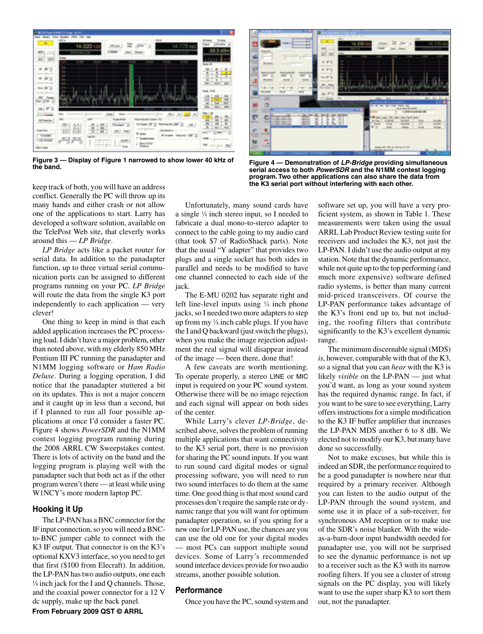

**Figure 3 — Display of Figure 1 narrowed to show lower 40 kHz of** 



**the band. Figure 4 — Demonstration of** *LP-Bridge* **providing simultaneous serial access to both** *PowerSDR* **and the N1MM contest logging program. Two other applications can also share the data from the K3 serial port without interfering with each other.**

keep track of both, you will have an address conflict. Generally the PC will throw up its many hands and either crash or not allow one of the applications to start. Larry has developed a software solution, available on the TelePost Web site, that cleverly works around this — *LP Bridge*.

*LP Bridge* acts like a packet router for serial data. In addition to the panadapter function, up to three virtual serial communication ports can be assigned to different programs running on your PC. *LP Bridge* will route the data from the single K3 port independently to each application — very clever!

One thing to keep in mind is that each added application increases the PC processing load. I didn't have a major problem, other than noted above, with my elderly 850 MHz Pentium III PC running the panadapter and N1MM logging software or *Ham Radio Deluxe*. During a logging operation, I did notice that the panadapter stuttered a bit on its updates. This is not a major concern and it caught up in less than a second, but if I planned to run all four possible applications at once I'd consider a faster PC. Figure 4 shows *PowerSDR* and the N1MM contest logging program running during the 2008 ARRL CW Sweepstakes contest. There is lots of activity on the band and the logging program is playing well with the panadapter such that both act as if the other program weren't there — at least while using W1NCY's more modern laptop PC.

#### **Hooking it Up**

The LP-PAN has a BNC connector for the IF input connection, so you will need a BNCto-BNC jumper cable to connect with the K3 IF output. That connector is on the K3's optional KXV3 interface, so you need to get that first (\$100 from Elecraft). In addition, the LP-PAN has two audio outputs, one each 1 ⁄8 inch jack for the I and Q channels. Those, and the coaxial power connector for a 12 V dc supply, make up the back panel.

Unfortunately, many sound cards have a single 1 ⁄8 inch stereo input, so I needed to fabricate a dual mono-to-stereo adapter to connect to the cable going to my audio card (that took \$7 of RadioShack parts). Note that the usual "Y adapter" that provides two plugs and a single socket has both sides in parallel and needs to be modified to have one channel connected to each side of the jack.

The E-MU 0202 has separate right and left line-level inputs using  $\frac{1}{4}$  inch phone jacks, so I needed two more adapters to step up from my 1 ⁄8 inch cable plugs. If you have the I and Q backward (just switch the plugs), when you make the image rejection adjustment the real signal will disappear instead of the image — been there, done that!

A few caveats are worth mentioning. To operate properly, a stereo LINE or MIC input is required on your PC sound system. Otherwise there will be no image rejection and each signal will appear on both sides of the center.

While Larry's clever *LP-Bridge*, described above, solves the problem of running multiple applications that want connectivity to the K3 serial port, there is no provision for sharing the PC sound inputs. If you want to run sound card digital modes or signal processing software, you will need to run two sound interfaces to do them at the same time. One good thing is that most sound card processes don't require the sample rate or dynamic range that you will want for optimum panadapter operation, so if you spring for a new one for LP-PAN use, the chances are you can use the old one for your digital modes — most PCs can support multiple sound devices. Some of Larry's recommended sound interface devices provide for two audio streams, another possible solution.

#### **Performance**

Once you have the PC, sound system and

software set up, you will have a very proficient system, as shown in Table 1. These measurements were taken using the usual ARRL Lab Product Review testing suite for receivers and includes the K3, not just the LP-PAN. I didn't use the audio output at my station. Note that the dynamic performance, while not quite up to the top performing (and much more expensive) software defined radio systems, is better than many current mid-priced transceivers. Of course the LP-PAN performance takes advantage of the K3's front end up to, but not including, the roofing filters that contribute significantly to the K3's excellent dynamic range.

The minimum discernable signal (MDS) *is*, however, comparable with that of the K3, so a signal that you can *hear* with the K3 is likely *visible* on the LP-PAN — just what you'd want, as long as your sound system has the required dynamic range. In fact, if you want to be sure to see everything, Larry offers instructions for a simple modification to the K3 IF buffer amplifier that increases the LP-PAN MDS another 6 to 8 dB. We elected not to modify our K3, but many have done so successfully.

Not to make excuses, but while this is indeed an SDR, the performance required to be a good panadapter is nowhere near that required by a primary receiver. Although you can listen to the audio output of the LP-PAN through the sound system, and some use it in place of a sub-receiver, for synchronous AM reception or to make use of the SDR's noise blanker. With the wideas-a-barn-door input bandwidth needed for panadapter use, you will not be surprised to see the dynamic performance is not up to a receiver such as the K3 with its narrow roofing filters. If you see a cluster of strong signals on the PC display, you will likely want to use the super sharp K3 to sort them out, not the panadapter.

**From February 2009 QST © ARRL**